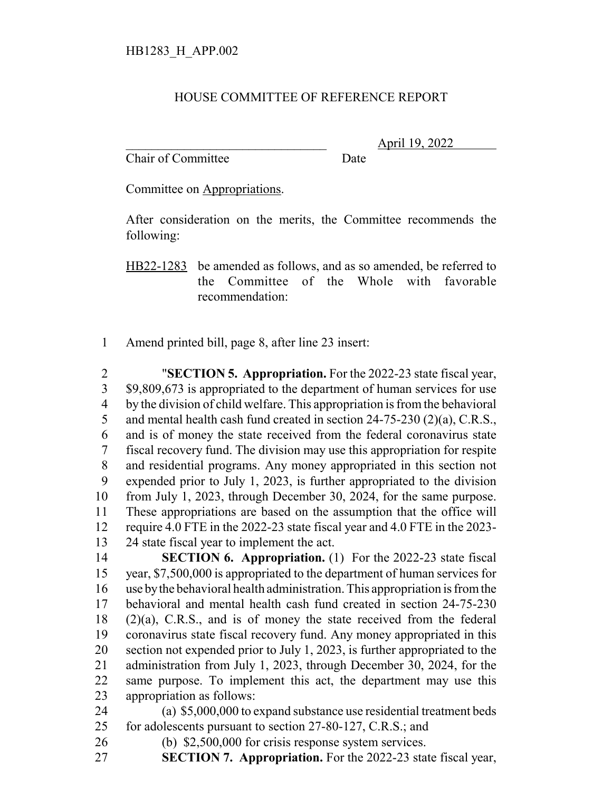## HOUSE COMMITTEE OF REFERENCE REPORT

Chair of Committee Date

\_\_\_\_\_\_\_\_\_\_\_\_\_\_\_\_\_\_\_\_\_\_\_\_\_\_\_\_\_\_\_ April 19, 2022

Committee on Appropriations.

After consideration on the merits, the Committee recommends the following:

HB22-1283 be amended as follows, and as so amended, be referred to the Committee of the Whole with favorable recommendation:

Amend printed bill, page 8, after line 23 insert:

 "**SECTION 5. Appropriation.** For the 2022-23 state fiscal year, \$9,809,673 is appropriated to the department of human services for use by the division of child welfare. This appropriation is from the behavioral 5 and mental health cash fund created in section 24-75-230 (2)(a), C.R.S., and is of money the state received from the federal coronavirus state fiscal recovery fund. The division may use this appropriation for respite and residential programs. Any money appropriated in this section not expended prior to July 1, 2023, is further appropriated to the division from July 1, 2023, through December 30, 2024, for the same purpose. These appropriations are based on the assumption that the office will require 4.0 FTE in the 2022-23 state fiscal year and 4.0 FTE in the 2023- 24 state fiscal year to implement the act.

 **SECTION 6. Appropriation.** (1) For the 2022-23 state fiscal year, \$7,500,000 is appropriated to the department of human services for use by the behavioral health administration. This appropriation is from the behavioral and mental health cash fund created in section 24-75-230 (2)(a), C.R.S., and is of money the state received from the federal coronavirus state fiscal recovery fund. Any money appropriated in this section not expended prior to July 1, 2023, is further appropriated to the administration from July 1, 2023, through December 30, 2024, for the same purpose. To implement this act, the department may use this appropriation as follows:

 (a) \$5,000,000 to expand substance use residential treatment beds 25 for adolescents pursuant to section 27-80-127, C.R.S.; and

- (b) \$2,500,000 for crisis response system services.
- **SECTION 7. Appropriation.** For the 2022-23 state fiscal year,